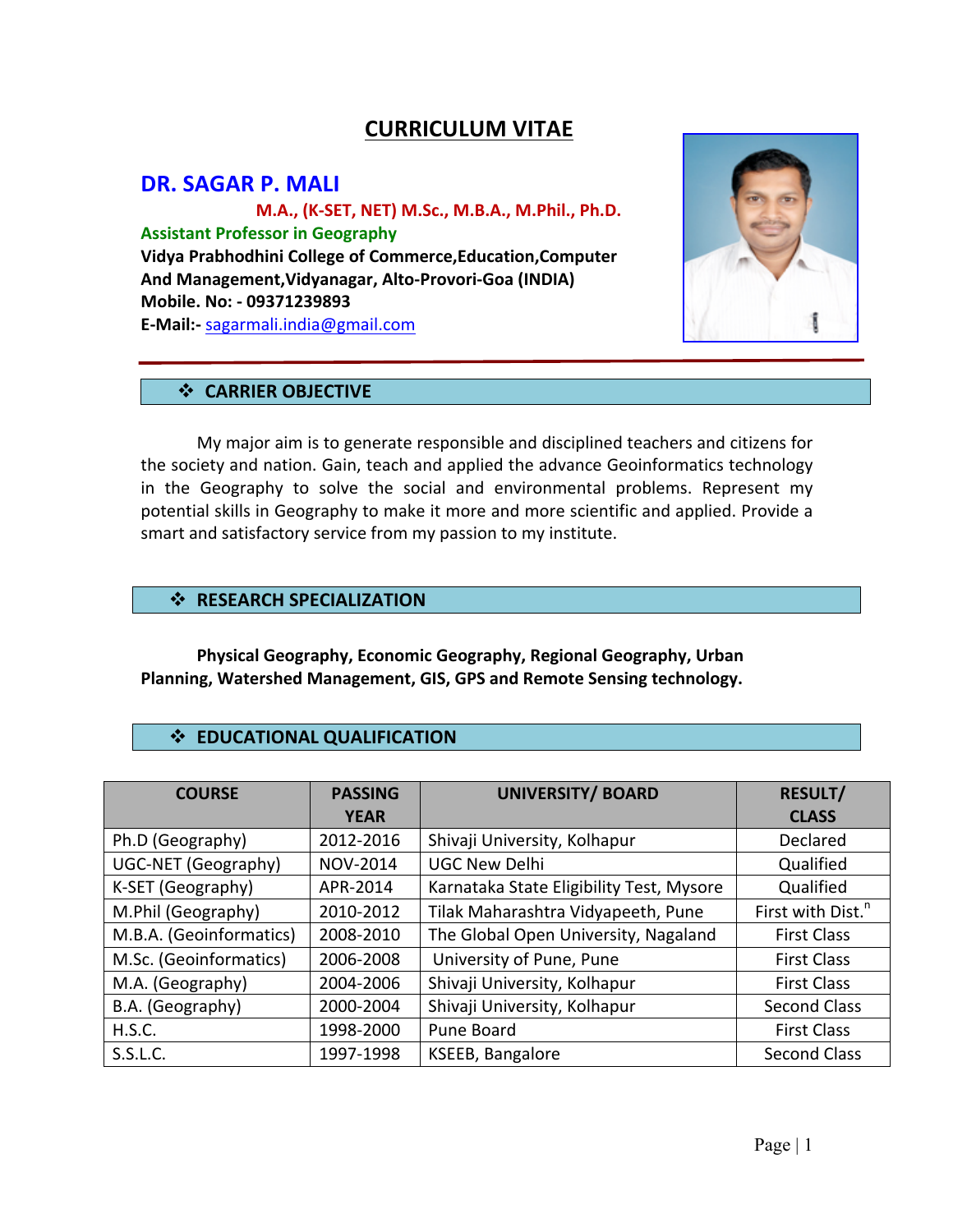# **CURRICULUM VITAE**

## **DR. SAGAR P. MALI**

 **M.A., (K-SET, NET) M.Sc., M.B.A., M.Phil., Ph.D. Assistant Professor in Geography Vidya Prabhodhini College of Commerce,Education,Computer And Management,Vidyanagar, Alto-Provori-Goa (INDIA) Mobile. No: - 09371239893 E-Mail:-** sagarmali.india@gmail.com



#### **❖ CARRIER OBJECTIVE**

My major aim is to generate responsible and disciplined teachers and citizens for the society and nation. Gain, teach and applied the advance Geoinformatics technology in the Geography to solve the social and environmental problems. Represent my potential skills in Geography to make it more and more scientific and applied. Provide a smart and satisfactory service from my passion to my institute.

### $\div$  **RESEARCH SPECIALIZATION**

Physical Geography, Economic Geography, Regional Geography, Urban Planning, Watershed Management, GIS, GPS and Remote Sensing technology.

## $\div$  **EDUCATIONAL QUALIFICATION**

| <b>COURSE</b>              | <b>PASSING</b>  | <b>UNIVERSITY/ BOARD</b>                 | <b>RESULT/</b>                |
|----------------------------|-----------------|------------------------------------------|-------------------------------|
|                            | <b>YEAR</b>     |                                          | <b>CLASS</b>                  |
| Ph.D (Geography)           | 2012-2016       | Shivaji University, Kolhapur             | Declared                      |
| <b>UGC-NET (Geography)</b> | <b>NOV-2014</b> | <b>UGC New Delhi</b>                     | Qualified                     |
| K-SET (Geography)          | APR-2014        | Karnataka State Eligibility Test, Mysore | Qualified                     |
| M.Phil (Geography)         | 2010-2012       | Tilak Maharashtra Vidyapeeth, Pune       | First with Dist. <sup>n</sup> |
| M.B.A. (Geoinformatics)    | 2008-2010       | The Global Open University, Nagaland     | <b>First Class</b>            |
| M.Sc. (Geoinformatics)     | 2006-2008       | University of Pune, Pune                 | <b>First Class</b>            |
| M.A. (Geography)           | 2004-2006       | Shivaji University, Kolhapur             | <b>First Class</b>            |
| B.A. (Geography)           | 2000-2004       | Shivaji University, Kolhapur             | Second Class                  |
| H.S.C.                     | 1998-2000       | Pune Board                               | <b>First Class</b>            |
| S.S.L.C.                   | 1997-1998       | KSEEB, Bangalore                         | <b>Second Class</b>           |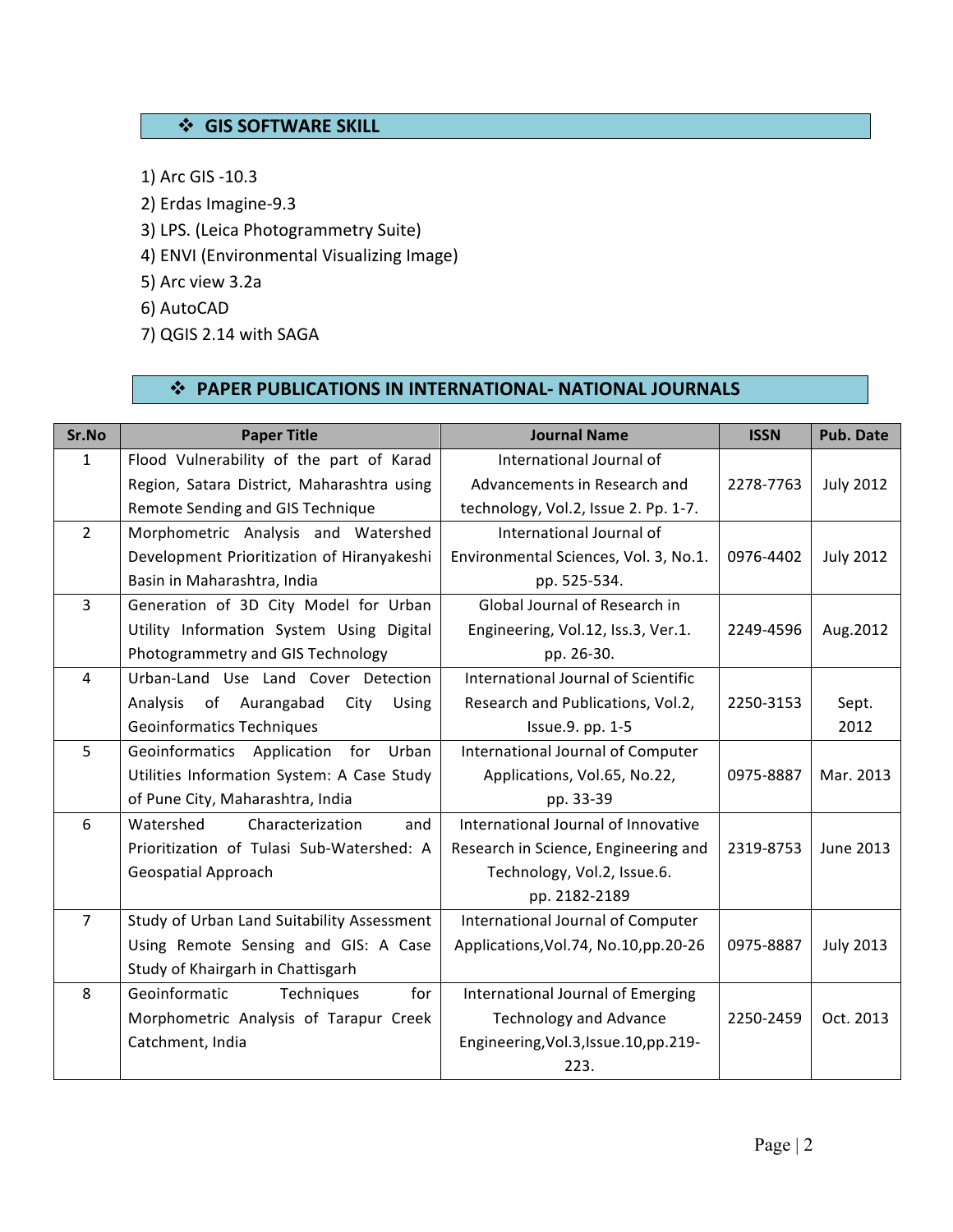## $\div$  **GIS SOFTWARE SKILL**

- 1) Arc GIS -10.3
- 2) Erdas Imagine-9.3
- 3) LPS. (Leica Photogrammetry Suite)
- 4) ENVI (Environmental Visualizing Image)
- 5) Arc view 3.2a
- 6) AutoCAD
- 7) QGIS 2.14 with SAGA

# $\div$  **PAPER PUBLICATIONS IN INTERNATIONAL- NATIONAL JOURNALS**

| Sr.No          | <b>Paper Title</b>                         | <b>Journal Name</b>                      | <b>ISSN</b> | <b>Pub. Date</b> |
|----------------|--------------------------------------------|------------------------------------------|-------------|------------------|
| $\mathbf{1}$   | Flood Vulnerability of the part of Karad   | International Journal of                 |             |                  |
|                | Region, Satara District, Maharashtra using | Advancements in Research and             | 2278-7763   | <b>July 2012</b> |
|                | Remote Sending and GIS Technique           | technology, Vol.2, Issue 2. Pp. 1-7.     |             |                  |
| $\overline{2}$ | Morphometric Analysis and Watershed        | International Journal of                 |             |                  |
|                | Development Prioritization of Hiranyakeshi | Environmental Sciences, Vol. 3, No.1.    | 0976-4402   | <b>July 2012</b> |
|                | Basin in Maharashtra, India                | pp. 525-534.                             |             |                  |
| 3              | Generation of 3D City Model for Urban      | Global Journal of Research in            |             |                  |
|                | Utility Information System Using Digital   | Engineering, Vol.12, Iss.3, Ver.1.       | 2249-4596   | Aug. 2012        |
|                | Photogrammetry and GIS Technology          | pp. 26-30.                               |             |                  |
| 4              | Urban-Land Use Land Cover Detection        | International Journal of Scientific      |             |                  |
|                | of Aurangabad<br>City<br>Analysis<br>Using | Research and Publications, Vol.2,        | 2250-3153   | Sept.            |
|                | <b>Geoinformatics Techniques</b>           | Issue.9. pp. 1-5                         |             | 2012             |
| 5              | Geoinformatics Application<br>for<br>Urban | International Journal of Computer        |             |                  |
|                | Utilities Information System: A Case Study | Applications, Vol.65, No.22,             | 0975-8887   | Mar. 2013        |
|                | of Pune City, Maharashtra, India           | pp. 33-39                                |             |                  |
| 6              | Watershed<br>Characterization<br>and       | International Journal of Innovative      |             |                  |
|                | Prioritization of Tulasi Sub-Watershed: A  | Research in Science, Engineering and     | 2319-8753   | June 2013        |
|                | Geospatial Approach                        | Technology, Vol.2, Issue.6.              |             |                  |
|                |                                            | pp. 2182-2189                            |             |                  |
| $\overline{7}$ | Study of Urban Land Suitability Assessment | International Journal of Computer        |             |                  |
|                | Using Remote Sensing and GIS: A Case       | Applications, Vol. 74, No. 10, pp. 20-26 | 0975-8887   | <b>July 2013</b> |
|                | Study of Khairgarh in Chattisgarh          |                                          |             |                  |
| 8              | for<br>Geoinformatic<br>Techniques         | International Journal of Emerging        |             |                  |
|                | Morphometric Analysis of Tarapur Creek     | <b>Technology and Advance</b>            | 2250-2459   | Oct. 2013        |
|                | Catchment, India                           | Engineering, Vol.3, Issue. 10, pp. 219-  |             |                  |
|                |                                            | 223.                                     |             |                  |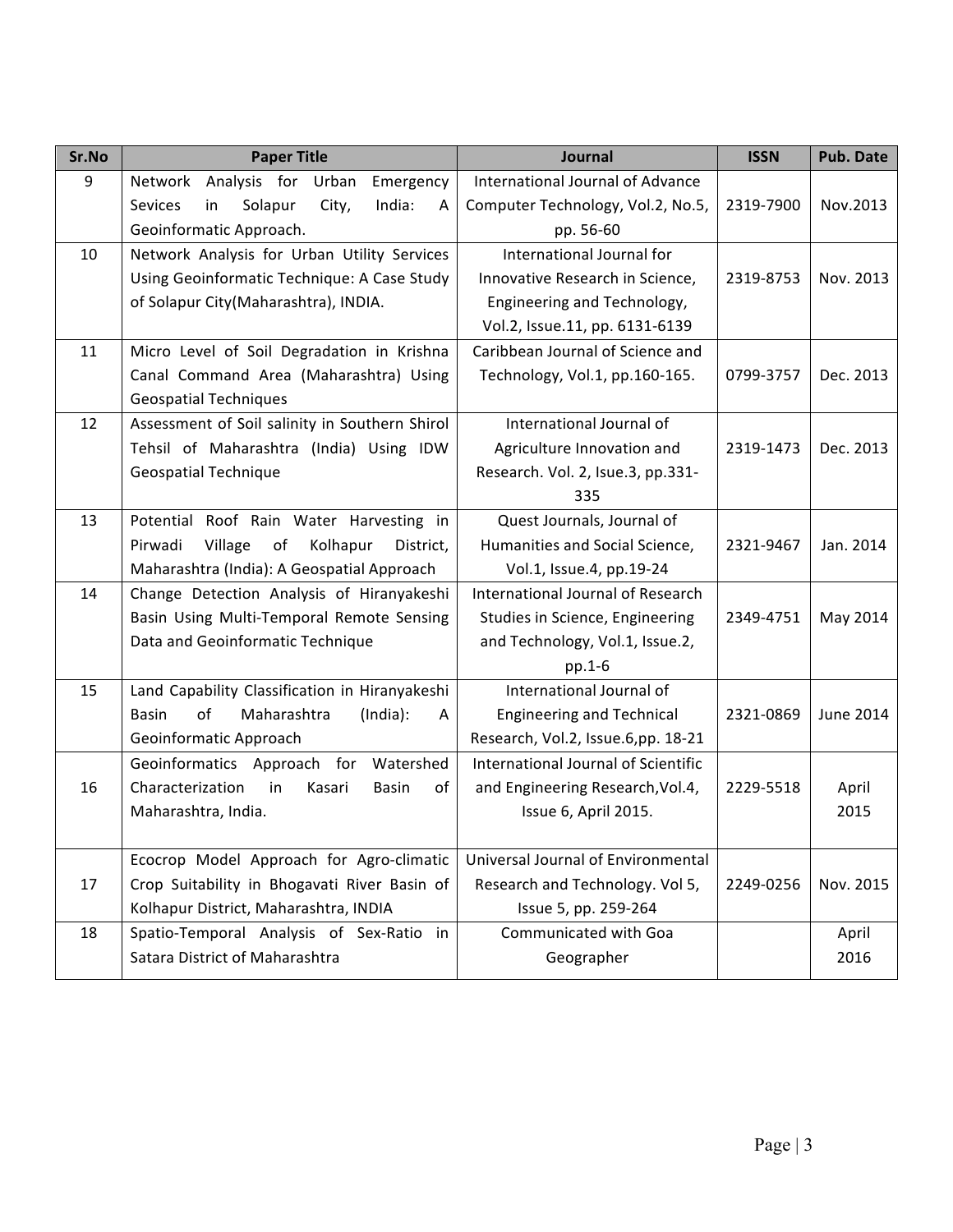| Sr.No | <b>Paper Title</b>                                                            | <b>Journal</b>                                                     | <b>ISSN</b> | <b>Pub. Date</b> |
|-------|-------------------------------------------------------------------------------|--------------------------------------------------------------------|-------------|------------------|
| 9     | Analysis for Urban<br>Emergency<br>Network                                    | International Journal of Advance                                   |             |                  |
|       | India:<br><b>Sevices</b><br>in<br>Solapur<br>City,<br>A                       | Computer Technology, Vol.2, No.5,                                  | 2319-7900   | Nov.2013         |
|       | Geoinformatic Approach.                                                       | pp. 56-60                                                          |             |                  |
| 10    | Network Analysis for Urban Utility Services                                   | International Journal for                                          |             |                  |
|       | Using Geoinformatic Technique: A Case Study                                   | Innovative Research in Science,                                    | 2319-8753   | Nov. 2013        |
|       | of Solapur City(Maharashtra), INDIA.                                          | Engineering and Technology,                                        |             |                  |
|       |                                                                               | Vol.2, Issue.11, pp. 6131-6139                                     |             |                  |
| 11    | Micro Level of Soil Degradation in Krishna                                    | Caribbean Journal of Science and                                   |             |                  |
|       | Canal Command Area (Maharashtra) Using                                        | Technology, Vol.1, pp.160-165.                                     | 0799-3757   | Dec. 2013        |
|       | <b>Geospatial Techniques</b>                                                  |                                                                    |             |                  |
| 12    | Assessment of Soil salinity in Southern Shirol                                | International Journal of                                           |             |                  |
|       | Tehsil of Maharashtra (India) Using IDW                                       | Agriculture Innovation and                                         | 2319-1473   | Dec. 2013        |
|       | <b>Geospatial Technique</b>                                                   | Research. Vol. 2, Isue.3, pp.331-                                  |             |                  |
|       |                                                                               | 335                                                                |             |                  |
| 13    | Potential Roof Rain Water Harvesting in                                       | Quest Journals, Journal of                                         |             |                  |
|       | Pirwadi<br>Village<br>of<br>Kolhapur<br>District,                             | Humanities and Social Science,                                     | 2321-9467   | Jan. 2014        |
|       | Maharashtra (India): A Geospatial Approach                                    | Vol.1, Issue.4, pp.19-24                                           |             |                  |
| 14    | Change Detection Analysis of Hiranyakeshi                                     | International Journal of Research                                  |             |                  |
|       | Basin Using Multi-Temporal Remote Sensing<br>Data and Geoinformatic Technique | Studies in Science, Engineering<br>and Technology, Vol.1, Issue.2, | 2349-4751   | May 2014         |
|       |                                                                               | $pp.1-6$                                                           |             |                  |
| 15    | Land Capability Classification in Hiranyakeshi                                | International Journal of                                           |             |                  |
|       | of<br>Maharashtra<br>(India):<br><b>Basin</b><br>A                            | <b>Engineering and Technical</b>                                   | 2321-0869   | <b>June 2014</b> |
|       | Geoinformatic Approach                                                        | Research, Vol.2, Issue.6,pp. 18-21                                 |             |                  |
|       | Geoinformatics Approach for Watershed                                         | International Journal of Scientific                                |             |                  |
| 16    | Characterization<br>in<br>Kasari<br><b>Basin</b><br>of                        | and Engineering Research, Vol.4,                                   | 2229-5518   | April            |
|       | Maharashtra, India.                                                           | Issue 6, April 2015.                                               |             | 2015             |
|       |                                                                               |                                                                    |             |                  |
|       | Ecocrop Model Approach for Agro-climatic                                      | Universal Journal of Environmental                                 |             |                  |
| 17    | Crop Suitability in Bhogavati River Basin of                                  | Research and Technology. Vol 5,                                    | 2249-0256   | Nov. 2015        |
|       | Kolhapur District, Maharashtra, INDIA                                         | Issue 5, pp. 259-264                                               |             |                  |
| 18    | Spatio-Temporal Analysis of Sex-Ratio in                                      | Communicated with Goa                                              |             | April            |
|       | Satara District of Maharashtra                                                | Geographer                                                         |             | 2016             |
|       |                                                                               |                                                                    |             |                  |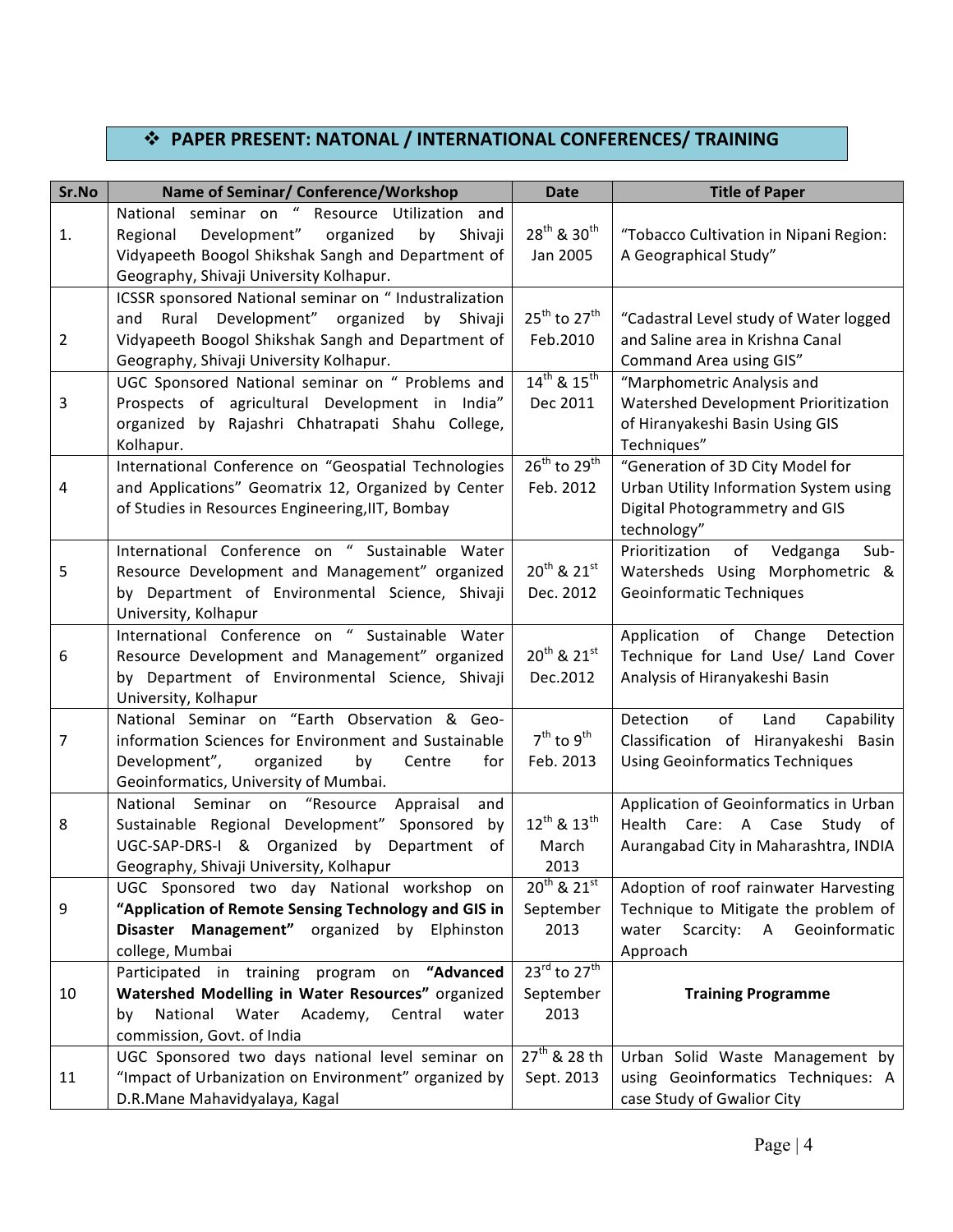# $\div$  **PAPER PRESENT: NATONAL / INTERNATIONAL CONFERENCES/ TRAINING**

| Sr.No | Name of Seminar/ Conference/Workshop                   | <b>Date</b>                          | <b>Title of Paper</b>                    |
|-------|--------------------------------------------------------|--------------------------------------|------------------------------------------|
|       | National seminar on " Resource Utilization and         |                                      |                                          |
| 1.    | Development"<br>organized<br>Regional<br>by<br>Shivaji | $28^{th}$ & $30^{th}$                | "Tobacco Cultivation in Nipani Region:   |
|       | Vidyapeeth Boogol Shikshak Sangh and Department of     | Jan 2005                             | A Geographical Study"                    |
|       | Geography, Shivaji University Kolhapur.                |                                      |                                          |
|       | ICSSR sponsored National seminar on " Industralization |                                      |                                          |
|       | Rural Development" organized<br>and<br>by<br>Shivaji   | $25^{th}$ to $27^{th}$               | "Cadastral Level study of Water logged   |
| 2     | Vidyapeeth Boogol Shikshak Sangh and Department of     | Feb.2010                             | and Saline area in Krishna Canal         |
|       | Geography, Shivaji University Kolhapur.                |                                      | Command Area using GIS"                  |
|       | UGC Sponsored National seminar on " Problems and       | $14^{th}$ & $15^{th}$                | "Marphometric Analysis and               |
| 3     | Prospects of agricultural Development in India"        | Dec 2011                             | Watershed Development Prioritization     |
|       | organized by Rajashri Chhatrapati Shahu College,       |                                      | of Hiranyakeshi Basin Using GIS          |
|       | Kolhapur.                                              |                                      | Techniques"                              |
|       | International Conference on "Geospatial Technologies   | $26^{th}$ to $29^{th}$               | "Generation of 3D City Model for         |
| 4     | and Applications" Geomatrix 12, Organized by Center    | Feb. 2012                            | Urban Utility Information System using   |
|       | of Studies in Resources Engineering, IIT, Bombay       |                                      | Digital Photogrammetry and GIS           |
|       |                                                        |                                      | technology"                              |
|       | International Conference on " Sustainable Water        |                                      | Prioritization<br>Vedganga<br>Sub-<br>of |
| 5     | Resource Development and Management" organized         | $20^{th}$ & $21^{st}$                | Watersheds Using Morphometric &          |
|       | by Department of Environmental Science, Shivaji        | Dec. 2012                            | Geoinformatic Techniques                 |
|       | University, Kolhapur                                   |                                      |                                          |
|       | International Conference on " Sustainable Water        |                                      | Application of Change<br>Detection       |
| 6     | Resource Development and Management" organized         | $20^{th}$ & $21^{st}$                | Technique for Land Use/ Land Cover       |
|       | by Department of Environmental Science, Shivaji        | Dec.2012                             | Analysis of Hiranyakeshi Basin           |
|       | University, Kolhapur                                   |                                      |                                          |
|       | National Seminar on "Earth Observation & Geo-          |                                      | of<br>Detection<br>Land<br>Capability    |
| 7     | information Sciences for Environment and Sustainable   | $7th$ to $9th$                       | Classification of Hiranyakeshi Basin     |
|       | Development",<br>organized<br>by<br>Centre<br>for      | Feb. 2013                            | <b>Using Geoinformatics Techniques</b>   |
|       | Geoinformatics, University of Mumbai.                  |                                      |                                          |
|       | National Seminar on "Resource<br>Appraisal<br>and      |                                      | Application of Geoinformatics in Urban   |
| 8     | Sustainable Regional Development" Sponsored<br>by      | $12^{th}$ & $13^{th}$                | Health Care: A Case Study of             |
|       | UGC-SAP-DRS-I & Organized by Department of             | March                                | Aurangabad City in Maharashtra, INDIA    |
|       | Geography, Shivaji University, Kolhapur                | 2013                                 |                                          |
|       | UGC Sponsored two day National workshop on             | $20^{th}$ & $21^{st}$                | Adoption of roof rainwater Harvesting    |
| 9     | "Application of Remote Sensing Technology and GIS in   | September                            | Technique to Mitigate the problem of     |
|       | Disaster Management" organized by Elphinston           | 2013                                 | Scarcity: A Geoinformatic<br>water       |
|       | college, Mumbai                                        |                                      | Approach                                 |
|       | Participated in training program on "Advanced          | $23^{\text{rd}}$ to $27^{\text{th}}$ |                                          |
| 10    | Watershed Modelling in Water Resources" organized      | September                            | <b>Training Programme</b>                |
|       | National<br>Water Academy,<br>Central<br>water<br>by   | 2013                                 |                                          |
|       | commission, Govt. of India                             |                                      |                                          |
|       | UGC Sponsored two days national level seminar on       | $27^{th}$ & 28 th                    | Urban Solid Waste Management by          |
| 11    | "Impact of Urbanization on Environment" organized by   | Sept. 2013                           | using Geoinformatics Techniques: A       |
|       | D.R.Mane Mahavidyalaya, Kagal                          |                                      | case Study of Gwalior City               |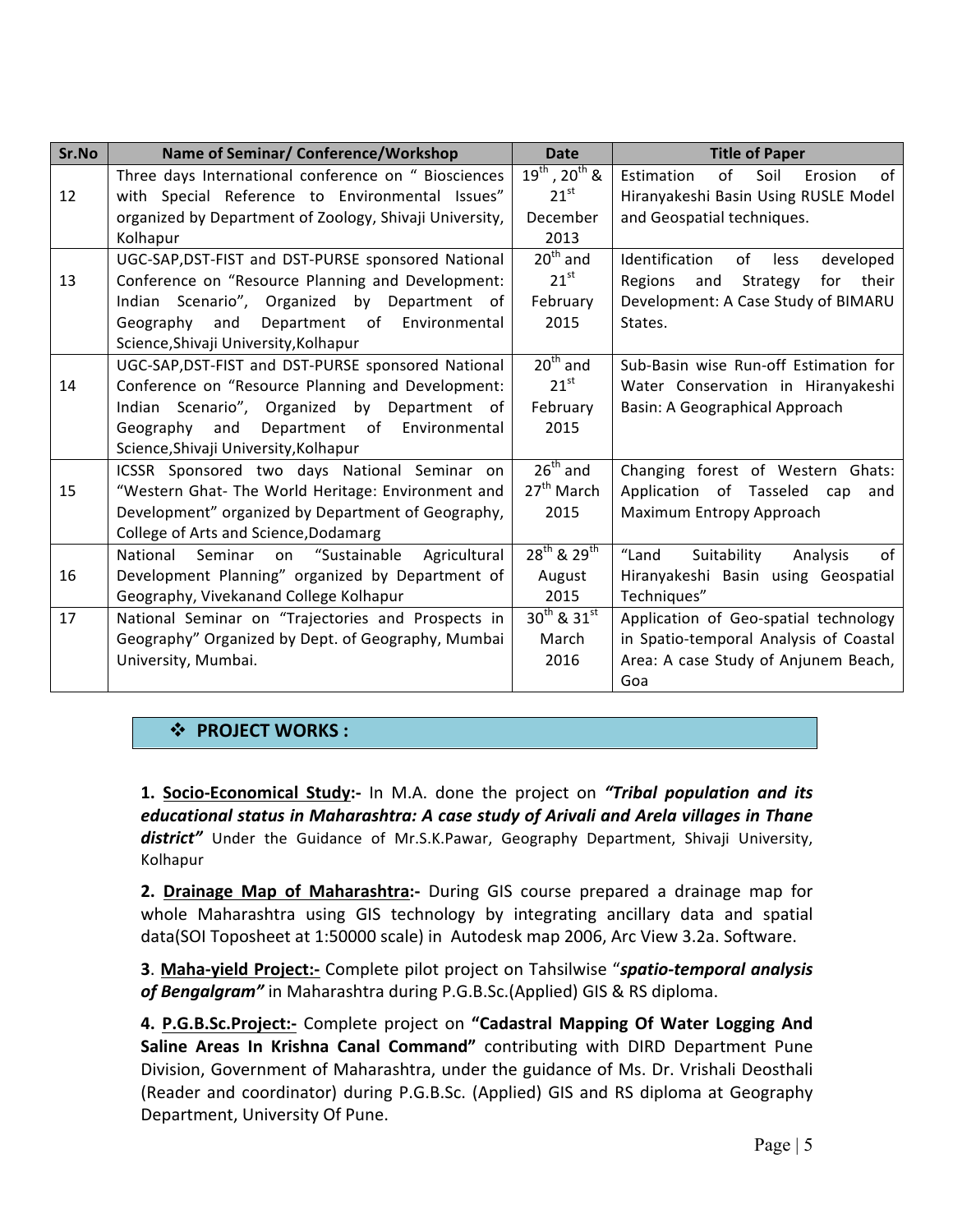| Sr.No | Name of Seminar/ Conference/Workshop                      | <b>Date</b>             | <b>Title of Paper</b>                     |
|-------|-----------------------------------------------------------|-------------------------|-------------------------------------------|
|       | Three days International conference on " Biosciences      | $19^{th}$ , $20^{th}$ & | of<br>of<br>Soil<br>Estimation<br>Erosion |
| 12    | with Special Reference to Environmental Issues"           | $21^{st}$               | Hiranyakeshi Basin Using RUSLE Model      |
|       | organized by Department of Zoology, Shivaji University,   | December                | and Geospatial techniques.                |
|       | Kolhapur                                                  | 2013                    |                                           |
|       | UGC-SAP, DST-FIST and DST-PURSE sponsored National        | $20th$ and              | Identification<br>of<br>less<br>developed |
| 13    | Conference on "Resource Planning and Development:         | $21^{\text{st}}$        | Regions<br>Strategy<br>for their<br>and   |
|       | Indian Scenario", Organized by Department of              | February                | Development: A Case Study of BIMARU       |
|       | Geography<br>and Department of Environmental              | 2015                    | States.                                   |
|       | Science, Shivaji University, Kolhapur                     |                         |                                           |
|       | UGC-SAP, DST-FIST and DST-PURSE sponsored National        | $20th$ and              | Sub-Basin wise Run-off Estimation for     |
| 14    | Conference on "Resource Planning and Development:         | $21^{st}$               | Water Conservation in Hiranyakeshi        |
|       | Indian Scenario", Organized by Department of              | February                | Basin: A Geographical Approach            |
|       | Department of Environmental<br>Geography<br>and           | 2015                    |                                           |
|       | Science, Shivaji University, Kolhapur                     |                         |                                           |
|       | ICSSR Sponsored two days National Seminar on              | $26th$ and              | Changing forest of Western Ghats:         |
| 15    | "Western Ghat- The World Heritage: Environment and        | 27 <sup>th</sup> March  | Application of Tasseled cap<br>and        |
|       | Development" organized by Department of Geography,        | 2015                    | Maximum Entropy Approach                  |
|       | College of Arts and Science, Dodamarg                     |                         |                                           |
|       | National<br>Seminar<br>"Sustainable<br>Agricultural<br>on | $28^{th}$ & $29^{th}$   | "Land<br>Suitability<br>of<br>Analysis    |
| 16    | Development Planning" organized by Department of          | August                  | Hiranyakeshi Basin using Geospatial       |
|       | Geography, Vivekanand College Kolhapur                    | 2015                    | Techniques"                               |
| 17    | National Seminar on "Trajectories and Prospects in        | $30^{th}$ & $31^{st}$   | Application of Geo-spatial technology     |
|       | Geography" Organized by Dept. of Geography, Mumbai        | March                   | in Spatio-temporal Analysis of Coastal    |
|       | University, Mumbai.                                       | 2016                    | Area: A case Study of Anjunem Beach,      |
|       |                                                           |                         | Goa                                       |

## $\div$  **PROJECT WORKS :**

**1. Socio-Economical Study:-** In M.A. done the project on *"Tribal population and its educational status in Maharashtra: A case study of Arivali and Arela villages in Thane* district" Under the Guidance of Mr.S.K.Pawar, Geography Department, Shivaji University, Kolhapur

**2. Drainage Map of Maharashtra:-** During GIS course prepared a drainage map for whole Maharashtra using GIS technology by integrating ancillary data and spatial data(SOI Toposheet at 1:50000 scale) in Autodesk map 2006, Arc View 3.2a. Software.

**3. Maha-yield Project:-** Complete pilot project on Tahsilwise "spatio-temporal analysis of Bengalgram" in Maharashtra during P.G.B.Sc.(Applied) GIS & RS diploma.

4. P.G.B.Sc.Project:- Complete project on "Cadastral Mapping Of Water Logging And **Saline Areas In Krishna Canal Command"** contributing with DIRD Department Pune Division, Government of Maharashtra, under the guidance of Ms. Dr. Vrishali Deosthali (Reader and coordinator) during P.G.B.Sc. (Applied) GIS and RS diploma at Geography Department, University Of Pune.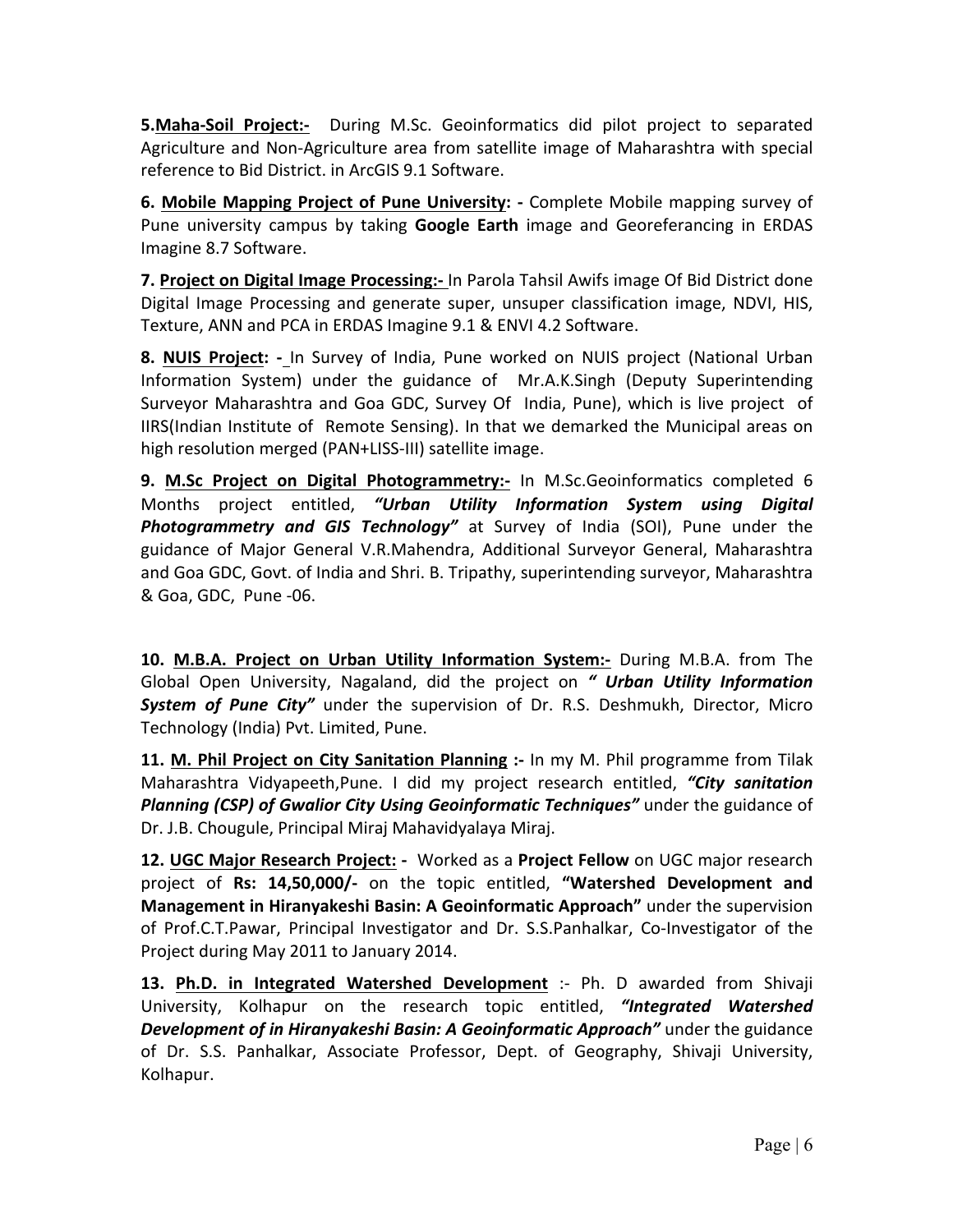**5.Maha-Soil Project:-** During M.Sc. Geoinformatics did pilot project to separated Agriculture and Non-Agriculture area from satellite image of Maharashtra with special reference to Bid District. in ArcGIS 9.1 Software.

**6. Mobile Mapping Project of Pune University:** - Complete Mobile mapping survey of Pune university campus by taking **Google Earth** image and Georeferancing in ERDAS Imagine 8.7 Software.

**7. Project on Digital Image Processing:**- In Parola Tahsil Awifs image Of Bid District done Digital Image Processing and generate super, unsuper classification image, NDVI, HIS, Texture, ANN and PCA in ERDAS Imagine 9.1 & ENVI 4.2 Software.

**8. NUIS Project:** -\_ In Survey of India, Pune worked on NUIS project (National Urban Information System) under the guidance of Mr.A.K.Singh (Deputy Superintending Surveyor Maharashtra and Goa GDC, Survey Of India, Pune), which is live project of IIRS(Indian Institute of Remote Sensing). In that we demarked the Municipal areas on high resolution merged (PAN+LISS-III) satellite image.

**9. M.Sc Project on Digital Photogrammetry:-** In M.Sc.Geoinformatics completed 6 Months project entitled, "Urban Utility Information System using Digital **Photogrammetry and GIS Technology"** at Survey of India (SOI), Pune under the guidance of Major General V.R.Mahendra, Additional Surveyor General, Maharashtra and Goa GDC, Govt. of India and Shri. B. Tripathy, superintending surveyor, Maharashtra & Goa, GDC, Pune -06.

10. M.B.A. Project on Urban Utility Information System:- During M.B.A. from The Global Open University, Nagaland, did the project on " Urban Utility Information **System of Pune City"** under the supervision of Dr. R.S. Deshmukh, Director, Micro Technology (India) Pvt. Limited, Pune.

**11.** M. Phil Project on City Sanitation Planning :- In my M. Phil programme from Tilak Maharashtra Vidyapeeth,Pune. I did my project research entitled, "City sanitation **Planning (CSP) of Gwalior City Using Geoinformatic Techniques"** under the guidance of Dr. J.B. Chougule, Principal Miraj Mahavidyalaya Miraj.

**12. UGC Major Research Project: -** Worked as a **Project Fellow** on UGC major research project of **Rs: 14,50,000/-** on the topic entitled, "Watershed Development and **Management in Hiranyakeshi Basin: A Geoinformatic Approach"** under the supervision of Prof.C.T.Pawar, Principal Investigator and Dr. S.S.Panhalkar, Co-Investigator of the Project during May 2011 to January 2014.

13. Ph.D. in Integrated Watershed Development :- Ph. D awarded from Shivaji University, Kolhapur on the research topic entitled, **"Integrated Watershed** *Development of in Hiranyakeshi Basin: A Geoinformatic Approach"* **under the guidance** of Dr. S.S. Panhalkar, Associate Professor, Dept. of Geography, Shivaji University, Kolhapur.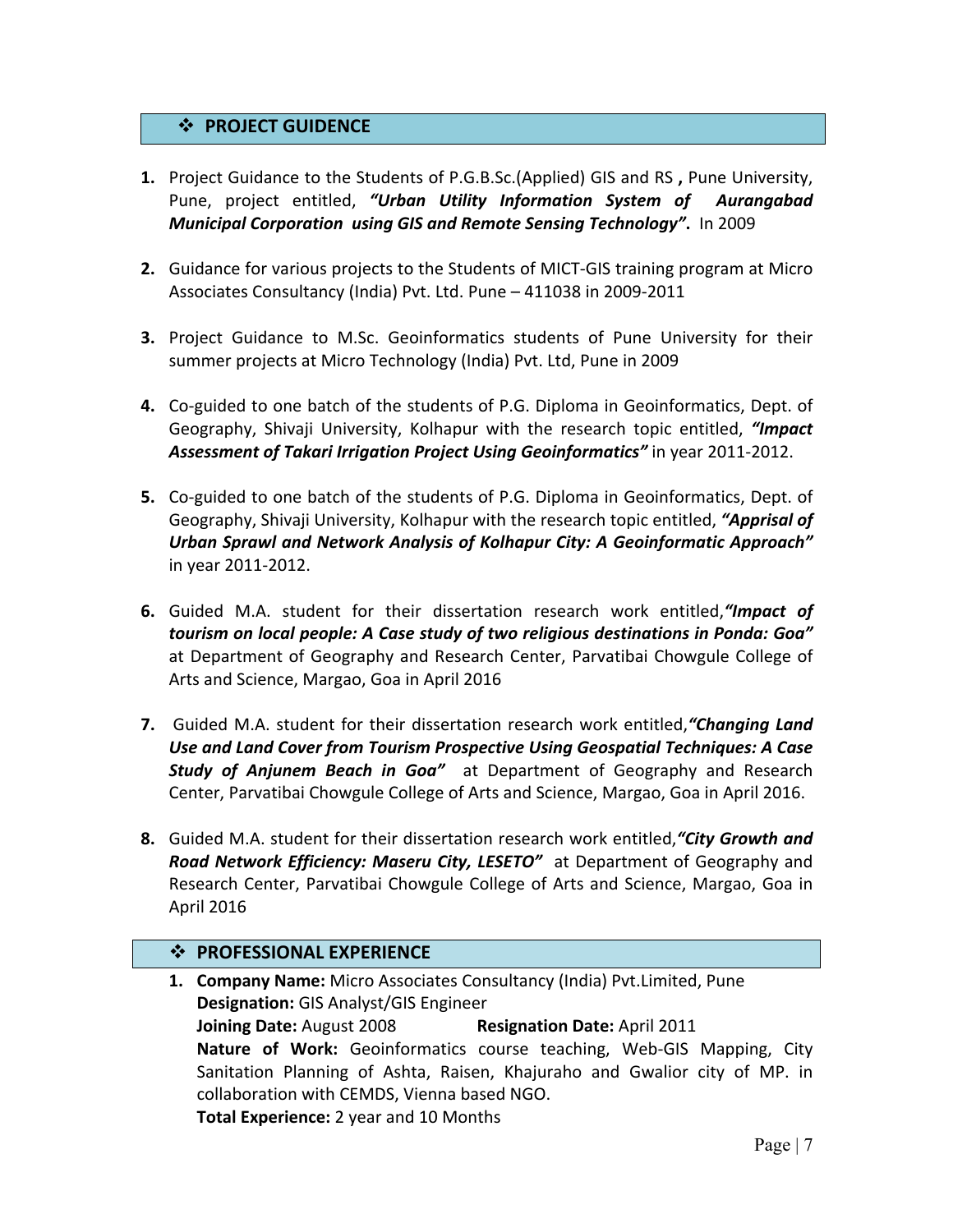## **❖ PROJECT GUIDENCE**

- **1.** Project Guidance to the Students of P.G.B.Sc.(Applied) GIS and RS, Pune University, Pune, project entitled, "Urban Utility Information System of Aurangabad *Municipal Corporation using GIS and Remote Sensing Technology"***.** In 2009
- **2.** Guidance for various projects to the Students of MICT-GIS training program at Micro Associates Consultancy (India) Pvt. Ltd. Pune - 411038 in 2009-2011
- **3.** Project Guidance to M.Sc. Geoinformatics students of Pune University for their summer projects at Micro Technology (India) Pvt. Ltd, Pune in 2009
- **4.** Co-guided to one batch of the students of P.G. Diploma in Geoinformatics, Dept. of Geography, Shivaji University, Kolhapur with the research topic entitled, *"Impact* Assessment of Takari Irrigation Project Using Geoinformatics" in year 2011-2012.
- **5.** Co-guided to one batch of the students of P.G. Diploma in Geoinformatics, Dept. of Geography, Shivaji University, Kolhapur with the research topic entitled, **"Apprisal of** Urban Sprawl and Network Analysis of Kolhapur City: A Geoinformatic Approach" in year 2011-2012.
- **6.** Guided M.A. student for their dissertation research work entitled, "Impact of tourism on local people: A Case study of two religious destinations in Ponda: Goa" at Department of Geography and Research Center, Parvatibai Chowgule College of Arts and Science, Margao, Goa in April 2016
- **7.** Guided M.A. student for their dissertation research work entitled, "Changing Land Use and Land Cover from Tourism Prospective Using Geospatial Techniques: A Case **Study of Anjunem Beach in Goa"** at Department of Geography and Research Center, Parvatibai Chowgule College of Arts and Science, Margao, Goa in April 2016.
- **8.** Guided M.A. student for their dissertation research work entitled, "City Growth and *Road Network Efficiency: Maseru City, LESETO"* at Department of Geography and Research Center, Parvatibai Chowgule College of Arts and Science, Margao, Goa in April 2016

## $\cdot$  **PROFESSIONAL EXPERIENCE**

**1. Company Name:** Micro Associates Consultancy (India) Pvt.Limited, Pune **Designation:** GIS Analyst/GIS Engineer **Joining Date:** August 2008 **Resignation Date:** April 2011 Nature of Work: Geoinformatics course teaching, Web-GIS Mapping, City Sanitation Planning of Ashta, Raisen, Khajuraho and Gwalior city of MP. in collaboration with CEMDS, Vienna based NGO. **Total Experience:** 2 year and 10 Months